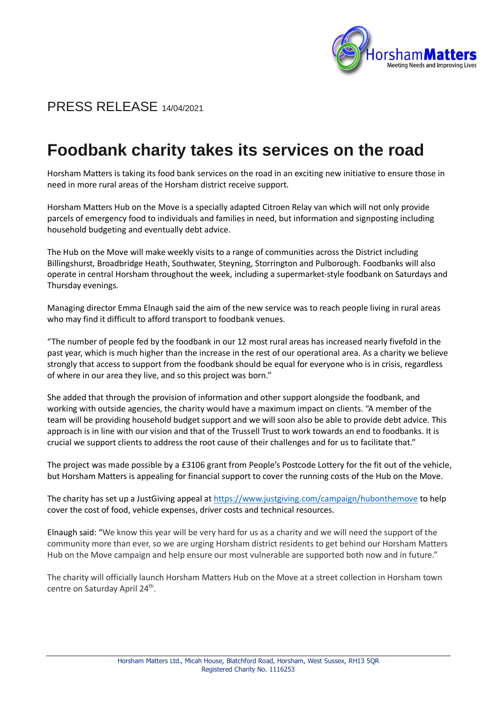

# PRESS RELEASE 14/04/2021

# **Foodbank charity takes its services on the road**

Horsham Matters is taking its food bank services on the road in an exciting new initiative to ensure those in need in more rural areas of the Horsham district receive support.

Horsham Matters Hub on the Move is a specially adapted Citroen Relay van which will not only provide parcels of emergency food to individuals and families in need, but information and signposting including household budgeting and eventually debt advice.

The Hub on the Move will make weekly visits to a range of communities across the District including Billingshurst, Broadbridge Heath, Southwater, Steyning, Storrington and Pulborough. Foodbanks will also operate in central Horsham throughout the week, including a supermarket-style foodbank on Saturdays and Thursday evenings.

Managing director Emma Elnaugh said the aim of the new service was to reach people living in rural areas who may find it difficult to afford transport to foodbank venues.

"The number of people fed by the foodbank in our 12 most rural areas has increased nearly fivefold in the past year, which is much higher than the increase in the rest of our operational area. As a charity we believe strongly that access to support from the foodbank should be equal for everyone who is in crisis, regardless of where in our area they live, and so this project was born."

She added that through the provision of information and other support alongside the foodbank, and working with outside agencies, the charity would have a maximum impact on clients. "A member of the team will be providing household budget support and we will soon also be able to provide debt advice. This approach is in line with our vision and that of the Trussell Trust to work towards an end to foodbanks. It is crucial we support clients to address the root cause of their challenges and for us to facilitate that."

The project was made possible by a £3106 grant from People's Postcode Lottery for the fit out of the vehicle, but Horsham Matters is appealing for financial support to cover the running costs of the Hub on the Move.

The charity has set up a JustGiving appeal at<https://www.justgiving.com/campaign/hubonthemove> to help cover the cost of food, vehicle expenses, driver costs and technical resources.

Elnaugh said: "We know this year will be very hard for us as a charity and we will need the support of the community more than ever, so we are urging Horsham district residents to get behind our Horsham Matters Hub on the Move campaign and help ensure our most vulnerable are supported both now and in future."

The charity will officially launch Horsham Matters Hub on the Move at a street collection in Horsham town centre on Saturday April 24<sup>th</sup>.